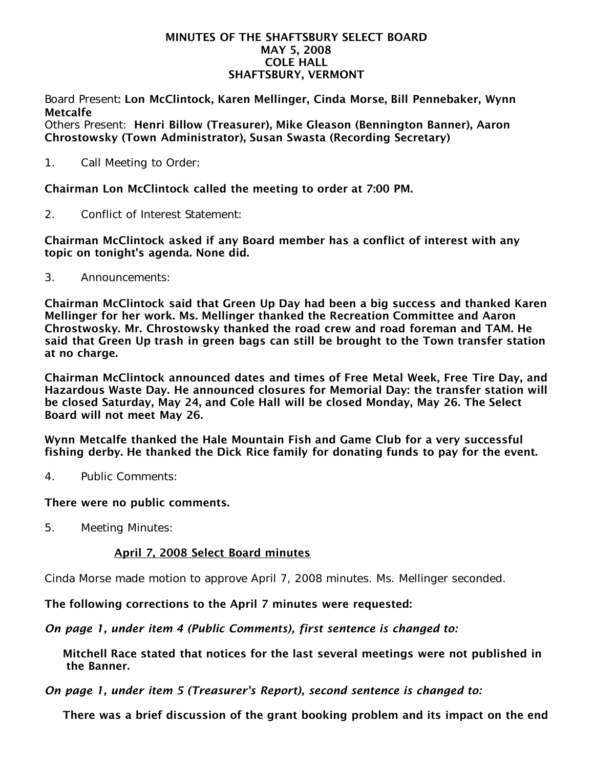### MINUTES OF THE SHAFTSBURY SELECT BOARD MAY 5, 2008 COLE HALL SHAFTSBURY, VERMONT

Board Present: Lon McClintock, Karen Mellinger, Cinda Morse, Bill Pennebaker, Wynn Metcalfe

Others Present: Henri Billow (Treasurer), Mike Gleason (Bennington Banner), Aaron Chrostowsky (Town Administrator), Susan Swasta (Recording Secretary)

1. Call Meeting to Order:

Chairman Lon McClintock called the meeting to order at 7:00 PM.

2. Conflict of Interest Statement:

Chairman McClintock asked if any Board member has a conflict of interest with any topic on tonight's agenda. None did.

3. Announcements:

Chairman McClintock said that Green Up Day had been a big success and thanked Karen Mellinger for her work. Ms. Mellinger thanked the Recreation Committee and Aaron Chrostwosky. Mr. Chrostowsky thanked the road crew and road foreman and TAM. He said that Green Up trash in green bags can still be brought to the Town transfer station at no charge.

Chairman McClintock announced dates and times of Free Metal Week, Free Tire Day, and Hazardous Waste Day. He announced closures for Memorial Day: the transfer station will be closed Saturday, May 24, and Cole Hall will be closed Monday, May 26. The Select Board will not meet May 26.

Wynn Metcalfe thanked the Hale Mountain Fish and Game Club for a very successful fishing derby. He thanked the Dick Rice family for donating funds to pay for the event.

4. Public Comments:

# There were no public comments.

5. Meeting Minutes:

# April 7, 2008 Select Board minutes

Cinda Morse made motion to approve April 7, 2008 minutes. Ms. Mellinger seconded.

The following corrections to the April 7 minutes were requested:

*On page 1, under item 4 (Public Comments), first sentence is changed to:*

Mitchell Race stated that notices for the last several meetings were not published in the Banner.

*On page 1, under item 5 (Treasurer's Report), second sentence is changed to:*

There was a brief discussion of the grant booking problem and its impact on the end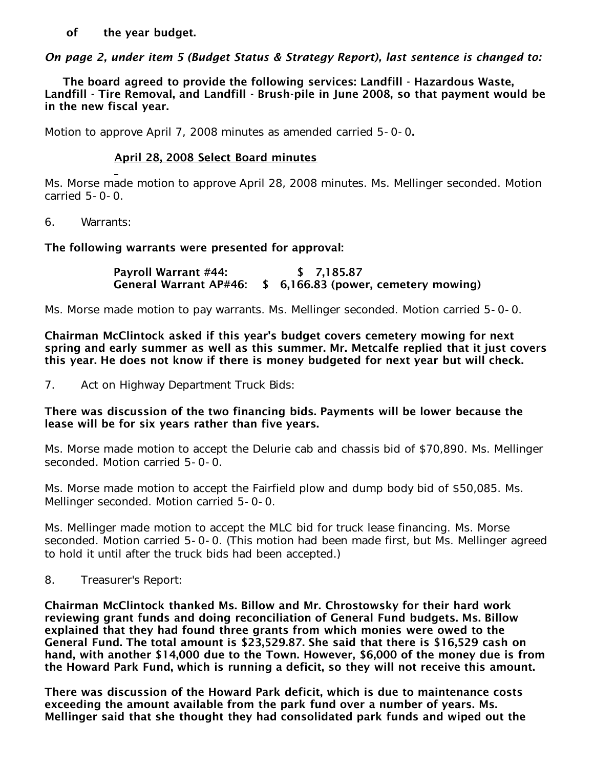of the year budget.

*On page 2, under item 5 (Budget Status & Strategy Report), last sentence is changed to:*

The board agreed to provide the following services: Landfill - Hazardous Waste, Landfill - Tire Removal, and Landfill - Brush-pile in June 2008, so that payment would be in the new fiscal year.

Motion to approve April 7, 2008 minutes as amended carried 5-0-0.

# April 28, 2008 Select Board minutes

Ms. Morse made motion to approve April 28, 2008 minutes. Ms. Mellinger seconded. Motion carried 5-0-0.

6. Warrants:

# The following warrants were presented for approval:

 Payroll Warrant #44: \$ 7,185.87 General Warrant AP#46: \$ 6,166.83 (power, cemetery mowing)

Ms. Morse made motion to pay warrants. Ms. Mellinger seconded. Motion carried 5-0-0.

Chairman McClintock asked if this year's budget covers cemetery mowing for next spring and early summer as well as this summer. Mr. Metcalfe replied that it just covers this year. He does not know if there is money budgeted for next year but will check.

7. Act on Highway Department Truck Bids:

## There was discussion of the two financing bids. Payments will be lower because the lease will be for six years rather than five years.

Ms. Morse made motion to accept the Delurie cab and chassis bid of \$70,890. Ms. Mellinger seconded. Motion carried 5-0-0.

Ms. Morse made motion to accept the Fairfield plow and dump body bid of \$50,085. Ms. Mellinger seconded. Motion carried 5-0-0.

Ms. Mellinger made motion to accept the MLC bid for truck lease financing. Ms. Morse seconded. Motion carried 5-0-0. (This motion had been made first, but Ms. Mellinger agreed to hold it until after the truck bids had been accepted.)

8. Treasurer's Report:

Chairman McClintock thanked Ms. Billow and Mr. Chrostowsky for their hard work reviewing grant funds and doing reconciliation of General Fund budgets. Ms. Billow explained that they had found three grants from which monies were owed to the General Fund. The total amount is \$23,529.87. She said that there is \$16,529 cash on hand, with another \$14,000 due to the Town. However, \$6,000 of the money due is from the Howard Park Fund, which is running a deficit, so they will not receive this amount.

There was discussion of the Howard Park deficit, which is due to maintenance costs exceeding the amount available from the park fund over a number of years. Ms. Mellinger said that she thought they had consolidated park funds and wiped out the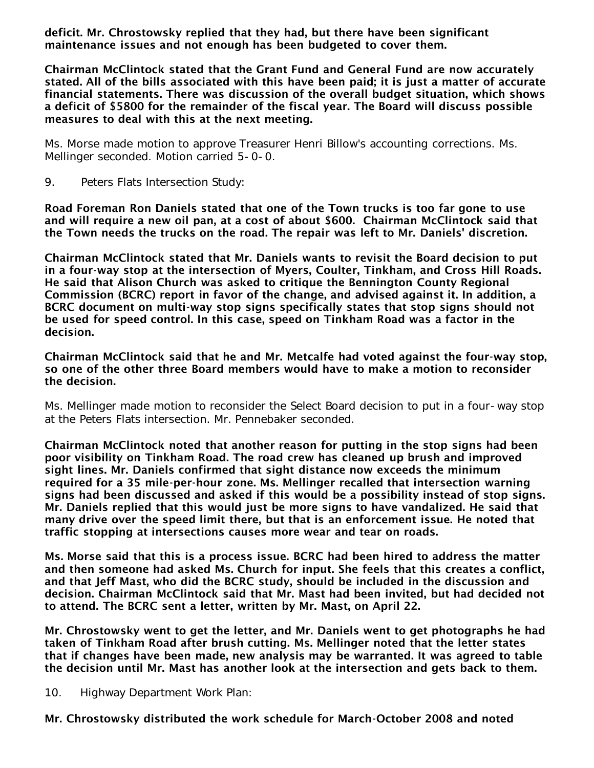deficit. Mr. Chrostowsky replied that they had, but there have been significant maintenance issues and not enough has been budgeted to cover them.

Chairman McClintock stated that the Grant Fund and General Fund are now accurately stated. All of the bills associated with this have been paid; it is just a matter of accurate financial statements. There was discussion of the overall budget situation, which shows a deficit of \$5800 for the remainder of the fiscal year. The Board will discuss possible measures to deal with this at the next meeting.

Ms. Morse made motion to approve Treasurer Henri Billow's accounting corrections. Ms. Mellinger seconded. Motion carried 5-0-0.

9. Peters Flats Intersection Study:

Road Foreman Ron Daniels stated that one of the Town trucks is too far gone to use and will require a new oil pan, at a cost of about \$600. Chairman McClintock said that the Town needs the trucks on the road. The repair was left to Mr. Daniels' discretion.

Chairman McClintock stated that Mr. Daniels wants to revisit the Board decision to put in a four-way stop at the intersection of Myers, Coulter, Tinkham, and Cross Hill Roads. He said that Alison Church was asked to critique the Bennington County Regional Commission (BCRC) report in favor of the change, and advised against it. In addition, a BCRC document on multi-way stop signs specifically states that stop signs should not be used for speed control. In this case, speed on Tinkham Road was a factor in the decision.

Chairman McClintock said that he and Mr. Metcalfe had voted against the four-way stop, so one of the other three Board members would have to make a motion to reconsider the decision.

Ms. Mellinger made motion to reconsider the Select Board decision to put in a four-way stop at the Peters Flats intersection. Mr. Pennebaker seconded.

Chairman McClintock noted that another reason for putting in the stop signs had been poor visibility on Tinkham Road. The road crew has cleaned up brush and improved sight lines. Mr. Daniels confirmed that sight distance now exceeds the minimum required for a 35 mile-per-hour zone. Ms. Mellinger recalled that intersection warning signs had been discussed and asked if this would be a possibility instead of stop signs. Mr. Daniels replied that this would just be more signs to have vandalized. He said that many drive over the speed limit there, but that is an enforcement issue. He noted that traffic stopping at intersections causes more wear and tear on roads.

Ms. Morse said that this is a process issue. BCRC had been hired to address the matter and then someone had asked Ms. Church for input. She feels that this creates a conflict, and that Jeff Mast, who did the BCRC study, should be included in the discussion and decision. Chairman McClintock said that Mr. Mast had been invited, but had decided not to attend. The BCRC sent a letter, written by Mr. Mast, on April 22.

Mr. Chrostowsky went to get the letter, and Mr. Daniels went to get photographs he had taken of Tinkham Road after brush cutting. Ms. Mellinger noted that the letter states that if changes have been made, new analysis may be warranted. It was agreed to table the decision until Mr. Mast has another look at the intersection and gets back to them.

10. Highway Department Work Plan:

Mr. Chrostowsky distributed the work schedule for March-October 2008 and noted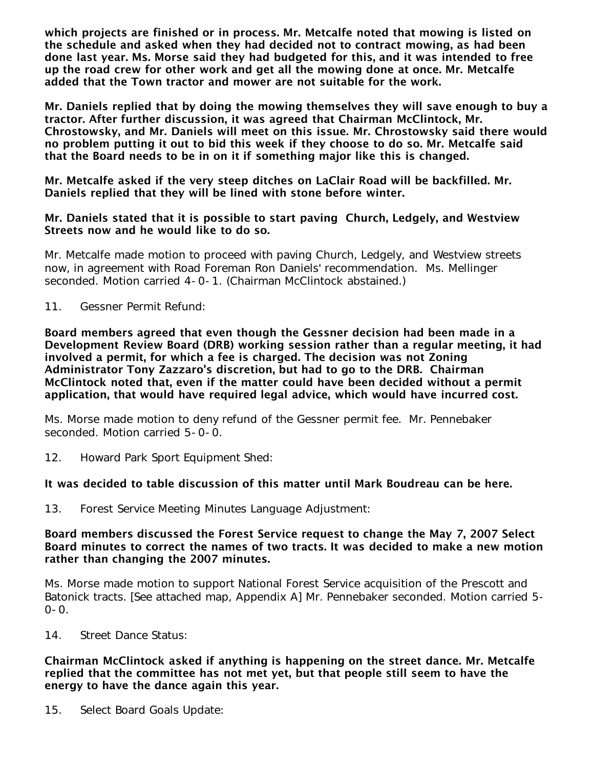which projects are finished or in process. Mr. Metcalfe noted that mowing is listed on the schedule and asked when they had decided not to contract mowing, as had been done last year. Ms. Morse said they had budgeted for this, and it was intended to free up the road crew for other work and get all the mowing done at once. Mr. Metcalfe added that the Town tractor and mower are not suitable for the work.

Mr. Daniels replied that by doing the mowing themselves they will save enough to buy a tractor. After further discussion, it was agreed that Chairman McClintock, Mr. Chrostowsky, and Mr. Daniels will meet on this issue. Mr. Chrostowsky said there would no problem putting it out to bid this week if they choose to do so. Mr. Metcalfe said that the Board needs to be in on it if something major like this is changed.

Mr. Metcalfe asked if the very steep ditches on LaClair Road will be backfilled. Mr. Daniels replied that they will be lined with stone before winter.

## Mr. Daniels stated that it is possible to start paving Church, Ledgely, and Westview Streets now and he would like to do so.

Mr. Metcalfe made motion to proceed with paving Church, Ledgely, and Westview streets now, in agreement with Road Foreman Ron Daniels' recommendation. Ms. Mellinger seconded. Motion carried 4-0-1. (Chairman McClintock abstained.)

11. Gessner Permit Refund:

Board members agreed that even though the Gessner decision had been made in a Development Review Board (DRB) working session rather than a regular meeting, it had involved a permit, for which a fee is charged. The decision was not Zoning Administrator Tony Zazzaro's discretion, but had to go to the DRB. Chairman McClintock noted that, even if the matter could have been decided without a permit application, that would have required legal advice, which would have incurred cost.

Ms. Morse made motion to deny refund of the Gessner permit fee. Mr. Pennebaker seconded. Motion carried 5-0-0.

12. Howard Park Sport Equipment Shed:

# It was decided to table discussion of this matter until Mark Boudreau can be here.

13. Forest Service Meeting Minutes Language Adjustment:

### Board members discussed the Forest Service request to change the May 7, 2007 Select Board minutes to correct the names of two tracts. It was decided to make a new motion rather than changing the 2007 minutes.

Ms. Morse made motion to support National Forest Service acquisition of the Prescott and Batonick tracts. [See attached map, Appendix A] Mr. Pennebaker seconded. Motion carried 5-  $0 - 0$ .

14. Street Dance Status:

### Chairman McClintock asked if anything is happening on the street dance. Mr. Metcalfe replied that the committee has not met yet, but that people still seem to have the energy to have the dance again this year.

15. Select Board Goals Update: